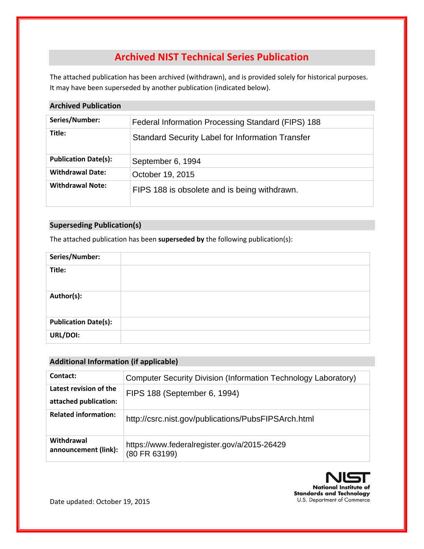# **Archived NIST Technical Series Publication**

The attached publication has been archived (withdrawn), and is provided solely for historical purposes. It may have been superseded by another publication (indicated below).

# **Archived Publication**

| Series/Number:              | Federal Information Processing Standard (FIPS) 188      |
|-----------------------------|---------------------------------------------------------|
| Title:                      | <b>Standard Security Label for Information Transfer</b> |
| <b>Publication Date(s):</b> | September 6, 1994                                       |
| <b>Withdrawal Date:</b>     | October 19, 2015                                        |
| <b>Withdrawal Note:</b>     | FIPS 188 is obsolete and is being withdrawn.            |

# **Superseding Publication(s)**

The attached publication has been **superseded by** the following publication(s):

| Series/Number:              |  |
|-----------------------------|--|
| Title:                      |  |
| Author(s):                  |  |
| <b>Publication Date(s):</b> |  |
| URL/DOI:                    |  |

# **Additional Information (if applicable)**

| Contact:                                        | Computer Security Division (Information Technology Laboratory) |
|-------------------------------------------------|----------------------------------------------------------------|
| Latest revision of the<br>attached publication: | FIPS 188 (September 6, 1994)                                   |
| <b>Related information:</b>                     | http://csrc.nist.gov/publications/PubsFIPSArch.html            |
| Withdrawal<br>announcement (link):              | https://www.federalregister.gov/a/2015-26429<br>(80 FR 63199)  |



Date updated: October 19, 2015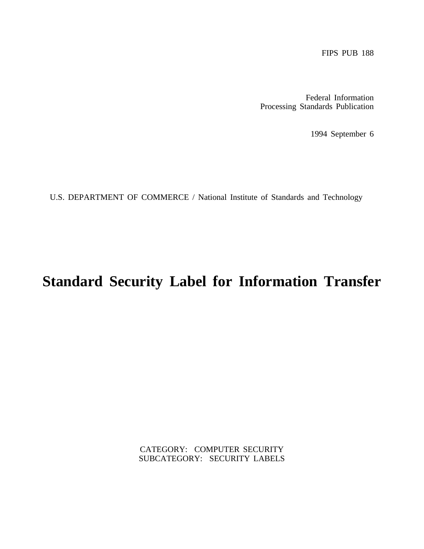Federal Information Processing Standards Publication

1994 September 6

U.S. DEPARTMENT OF COMMERCE / National Institute of Standards and Technology

# **Standard Security Label for Information Transfer**

CATEGORY: COMPUTER SECURITY SUBCATEGORY: SECURITY LABELS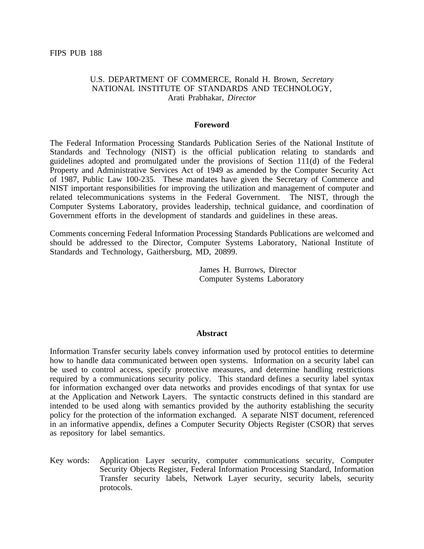#### U.S. DEPARTMENT OF COMMERCE, Ronald H. Brown, *Secretary* NATIONAL INSTITUTE OF STANDARDS AND TECHNOLOGY, Arati Prabhakar, *Director*

#### **Foreword**

The Federal Information Processing Standards Publication Series of the National Institute of Standards and Technology (NIST) is the official publication relating to standards and guidelines adopted and promulgated under the provisions of Section 111(d) of the Federal Property and Administrative Services Act of 1949 as amended by the Computer Security Act of 1987, Public Law 100-235. These mandates have given the Secretary of Commerce and NIST important responsibilities for improving the utilization and management of computer and related telecommunications systems in the Federal Government. The NIST, through the Computer Systems Laboratory, provides leadership, technical guidance, and coordination of Government efforts in the development of standards and guidelines in these areas.

Comments concerning Federal Information Processing Standards Publications are welcomed and should be addressed to the Director, Computer Systems Laboratory, National Institute of Standards and Technology, Gaithersburg, MD, 20899.

> James H. Burrows, Director Computer Systems Laboratory

#### **Abstract**

Information Transfer security labels convey information used by protocol entities to determine how to handle data communicated between open systems. Information on a security label can be used to control access, specify protective measures, and determine handling restrictions required by a communications security policy. This standard defines a security label syntax for information exchanged over data networks and provides encodings of that syntax for use at the Application and Network Layers. The syntactic constructs defined in this standard are intended to be used along with semantics provided by the authority establishing the security policy for the protection of the information exchanged. A separate NIST document, referenced in an informative appendix, defines a Computer Security Objects Register (CSOR) that serves as repository for label semantics.

Key words: Application Layer security, computer communications security, Computer Security Objects Register, Federal Information Processing Standard, Information Transfer security labels, Network Layer security, security labels, security protocols.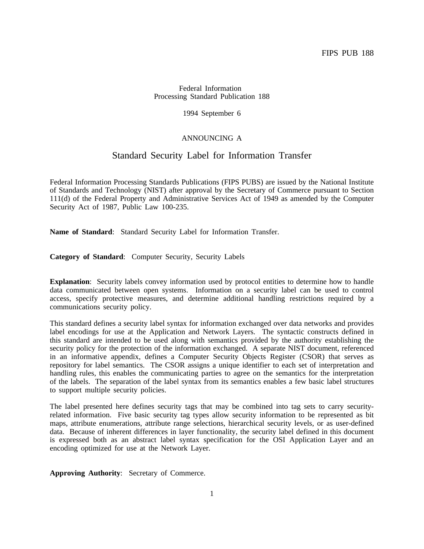#### Federal Information Processing Standard Publication 188

1994 September 6

#### ANNOUNCING A

# Standard Security Label for Information Transfer

Federal Information Processing Standards Publications (FIPS PUBS) are issued by the National Institute of Standards and Technology (NIST) after approval by the Secretary of Commerce pursuant to Section 111(d) of the Federal Property and Administrative Services Act of 1949 as amended by the Computer Security Act of 1987, Public Law 100-235.

**Name of Standard**: Standard Security Label for Information Transfer.

**Category of Standard**: Computer Security, Security Labels

**Explanation**: Security labels convey information used by protocol entities to determine how to handle data communicated between open systems. Information on a security label can be used to control access, specify protective measures, and determine additional handling restrictions required by a communications security policy.

This standard defines a security label syntax for information exchanged over data networks and provides label encodings for use at the Application and Network Layers. The syntactic constructs defined in this standard are intended to be used along with semantics provided by the authority establishing the security policy for the protection of the information exchanged. A separate NIST document, referenced in an informative appendix, defines a Computer Security Objects Register (CSOR) that serves as repository for label semantics. The CSOR assigns a unique identifier to each set of interpretation and handling rules, this enables the communicating parties to agree on the semantics for the interpretation of the labels. The separation of the label syntax from its semantics enables a few basic label structures to support multiple security policies.

The label presented here defines security tags that may be combined into tag sets to carry securityrelated information. Five basic security tag types allow security information to be represented as bit maps, attribute enumerations, attribute range selections, hierarchical security levels, or as user-defined data. Because of inherent differences in layer functionality, the security label defined in this document is expressed both as an abstract label syntax specification for the OSI Application Layer and an encoding optimized for use at the Network Layer.

**Approving Authority**: Secretary of Commerce.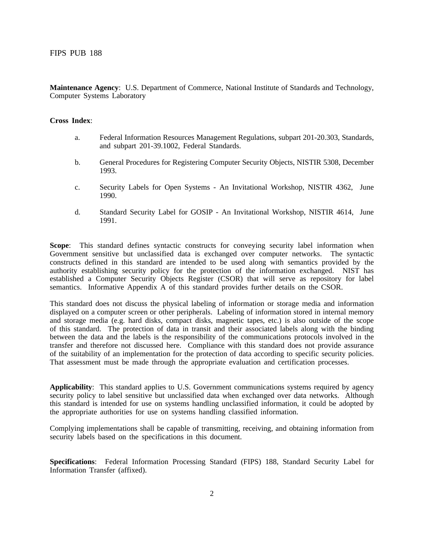**Maintenance Agency**: U.S. Department of Commerce, National Institute of Standards and Technology, Computer Systems Laboratory

#### **Cross Index**:

- a. Federal Information Resources Management Regulations, subpart 201-20.303, Standards, and subpart 201-39.1002, Federal Standards.
- b. General Procedures for Registering Computer Security Objects, NISTIR 5308, December 1993.
- c. Security Labels for Open Systems An Invitational Workshop, NISTIR 4362, June 1990.
- d. Standard Security Label for GOSIP An Invitational Workshop, NISTIR 4614, June 1991.

**Scope**: This standard defines syntactic constructs for conveying security label information when Government sensitive but unclassified data is exchanged over computer networks. The syntactic constructs defined in this standard are intended to be used along with semantics provided by the authority establishing security policy for the protection of the information exchanged. NIST has established a Computer Security Objects Register (CSOR) that will serve as repository for label semantics. Informative Appendix A of this standard provides further details on the CSOR.

This standard does not discuss the physical labeling of information or storage media and information displayed on a computer screen or other peripherals. Labeling of information stored in internal memory and storage media (e.g. hard disks, compact disks, magnetic tapes, etc.) is also outside of the scope of this standard. The protection of data in transit and their associated labels along with the binding between the data and the labels is the responsibility of the communications protocols involved in the transfer and therefore not discussed here. Compliance with this standard does not provide assurance of the suitability of an implementation for the protection of data according to specific security policies. That assessment must be made through the appropriate evaluation and certification processes.

**Applicability**: This standard applies to U.S. Government communications systems required by agency security policy to label sensitive but unclassified data when exchanged over data networks. Although this standard is intended for use on systems handling unclassified information, it could be adopted by the appropriate authorities for use on systems handling classified information.

Complying implementations shall be capable of transmitting, receiving, and obtaining information from security labels based on the specifications in this document.

**Specifications**: Federal Information Processing Standard (FIPS) 188, Standard Security Label for Information Transfer (affixed).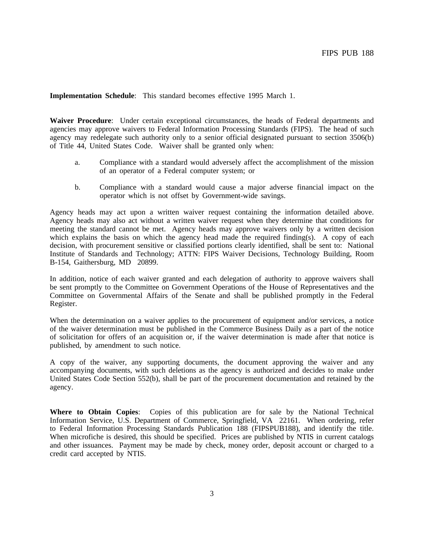**Implementation Schedule**: This standard becomes effective 1995 March 1.

**Waiver Procedure**: Under certain exceptional circumstances, the heads of Federal departments and agencies may approve waivers to Federal Information Processing Standards (FIPS). The head of such agency may redelegate such authority only to a senior official designated pursuant to section 3506(b) of Title 44, United States Code. Waiver shall be granted only when:

- a. Compliance with a standard would adversely affect the accomplishment of the mission of an operator of a Federal computer system; or
- b. Compliance with a standard would cause a major adverse financial impact on the operator which is not offset by Government-wide savings.

Agency heads may act upon a written waiver request containing the information detailed above. Agency heads may also act without a written waiver request when they determine that conditions for meeting the standard cannot be met. Agency heads may approve waivers only by a written decision which explains the basis on which the agency head made the required finding(s). A copy of each decision, with procurement sensitive or classified portions clearly identified, shall be sent to: National Institute of Standards and Technology; ATTN: FIPS Waiver Decisions, Technology Building, Room B-154, Gaithersburg, MD 20899.

In addition, notice of each waiver granted and each delegation of authority to approve waivers shall be sent promptly to the Committee on Government Operations of the House of Representatives and the Committee on Governmental Affairs of the Senate and shall be published promptly in the Federal Register.

When the determination on a waiver applies to the procurement of equipment and/or services, a notice of the waiver determination must be published in the Commerce Business Daily as a part of the notice of solicitation for offers of an acquisition or, if the waiver determination is made after that notice is published, by amendment to such notice.

A copy of the waiver, any supporting documents, the document approving the waiver and any accompanying documents, with such deletions as the agency is authorized and decides to make under United States Code Section 552(b), shall be part of the procurement documentation and retained by the agency.

**Where to Obtain Copies**: Copies of this publication are for sale by the National Technical Information Service, U.S. Department of Commerce, Springfield, VA 22161. When ordering, refer to Federal Information Processing Standards Publication 188 (FIPSPUB188), and identify the title. When microfiche is desired, this should be specified. Prices are published by NTIS in current catalogs and other issuances. Payment may be made by check, money order, deposit account or charged to a credit card accepted by NTIS.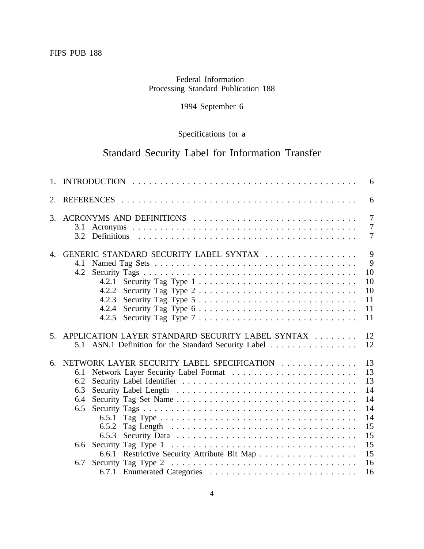# Federal Information Processing Standard Publication 188

# 1994 September 6

# Specifications for a

# Standard Security Label for Information Transfer

|    | 6                                                                                                                                                                                                                                                                                                                                                                                                                                                                                                                                                             |                                                                      |  |  |  |  |
|----|---------------------------------------------------------------------------------------------------------------------------------------------------------------------------------------------------------------------------------------------------------------------------------------------------------------------------------------------------------------------------------------------------------------------------------------------------------------------------------------------------------------------------------------------------------------|----------------------------------------------------------------------|--|--|--|--|
| 2. |                                                                                                                                                                                                                                                                                                                                                                                                                                                                                                                                                               | 6                                                                    |  |  |  |  |
| 3. | ACRONYMS AND DEFINITIONS<br>3.1<br>3.2                                                                                                                                                                                                                                                                                                                                                                                                                                                                                                                        | 7<br>7<br>7                                                          |  |  |  |  |
|    | 4. GENERIC STANDARD SECURITY LABEL SYNTAX<br>4.1<br>4.2<br>Security Tag Type $1, \ldots, \ldots, \ldots, \ldots, \ldots, \ldots, \ldots, \ldots$<br>4.2.1<br>4.2.2<br>Security Tag Type $2 \ldots \ldots \ldots \ldots \ldots \ldots \ldots \ldots \ldots$<br>4.2.3<br>Security Tag Type $5 \ldots \ldots \ldots \ldots \ldots \ldots \ldots \ldots \ldots$<br>Security Tag Type $6 \ldots \ldots \ldots \ldots \ldots \ldots \ldots \ldots \ldots$<br>4.2.4<br>Security Tag Type $7 \ldots \ldots \ldots \ldots \ldots \ldots \ldots \ldots \ldots$<br>4.2.5 | 9<br>9<br>10<br>10<br>10<br>11<br>11<br>11                           |  |  |  |  |
|    | 5. APPLICATION LAYER STANDARD SECURITY LABEL SYNTAX<br>5.1 ASN.1 Definition for the Standard Security Label                                                                                                                                                                                                                                                                                                                                                                                                                                                   | 12<br>12                                                             |  |  |  |  |
| 6. | NETWORK LAYER SECURITY LABEL SPECIFICATION<br>6.1<br>6.2<br>6.3<br>6.4<br>6.5<br>6.5.1<br>6.5.2<br>6.5.3<br>6.6<br>6.6.1 Restrictive Security Attribute Bit Map<br>6.7                                                                                                                                                                                                                                                                                                                                                                                        | 13<br>13<br>13<br>14<br>14<br>14<br>14<br>15<br>15<br>15<br>15<br>16 |  |  |  |  |
|    |                                                                                                                                                                                                                                                                                                                                                                                                                                                                                                                                                               | 16                                                                   |  |  |  |  |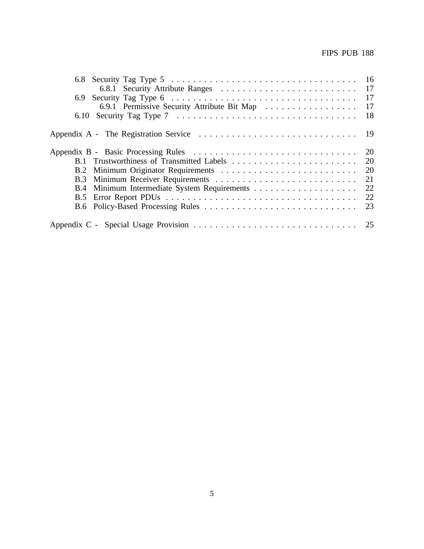|                                             | - 17      |
|---------------------------------------------|-----------|
|                                             | - 17      |
| 6.9.1 Permissive Security Attribute Bit Map | -17       |
|                                             | - 18      |
|                                             | - 19      |
|                                             |           |
|                                             | <b>20</b> |
|                                             | -20       |
|                                             | 21        |
| B.4                                         | -22       |
| B.5                                         | 22        |
|                                             | 23        |
|                                             |           |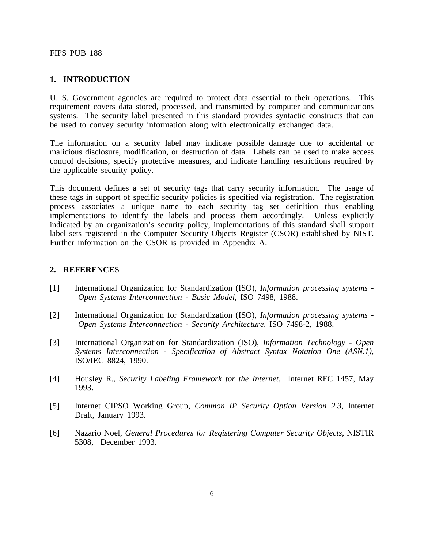#### <span id="page-8-0"></span>**1. INTRODUCTION**

U. S. Government agencies are required to protect data essential to their operations. This requirement covers data stored, processed, and transmitted by computer and communications systems. The security label presented in this standard provides syntactic constructs that can be used to convey security information along with electronically exchanged data.

The information on a security label may indicate possible damage due to accidental or malicious disclosure, modification, or destruction of data. Labels can be used to make access control decisions, specify protective measures, and indicate handling restrictions required by the applicable security policy.

This document defines a set of security tags that carry security information. The usage of these tags in support of specific security policies is specified via registration. The registration process associates a unique name to each security tag set definition thus enabling implementations to identify the labels and process them accordingly. Unless explicitly indicated by an organization's security policy, implementations of this standard shall support label sets registered in the Computer Security Objects Register (CSOR) established by NIST. Further information on the CSOR is provided in Appendix A.

#### **2. REFERENCES**

- $[1]$ International Organization for Standardization (ISO), *Information processing systems Open Systems Interconnection - Basic Model*, ISO 7498, 1988.
- [2] International Organization for Standardization (ISO), *Information processing systems Open Systems Interconnection - Security Architecture* , ISO 7498-2, 1988.
- [3] International Organization for Standardization (ISO), *Information Technology Open Systems Interconnection - Specification of Abstract Syntax Notation One (ASN.1)*, ISO/IEC 8824, 1990.
- [4] Housley R., *Security Labeling Framework for the Internet*, Internet RFC 1457, May 1993.
- [5] Internet CIPSO Working Group, *Common IP Security Option Version 2.3*, Internet Draft, January 1993.
- [6] Nazario Noel, *General Procedures for Registering Computer Security Objects*, NISTIR 5308, December 1993.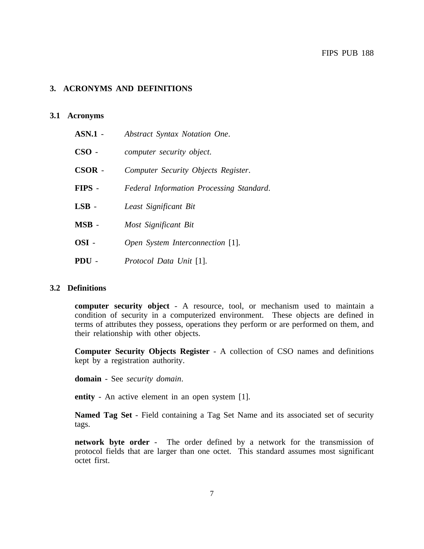## <span id="page-9-0"></span>**3. ACRONYMS AND DEFINITIONS**

#### **3.1 Acronyms**

| ASN.1 -     | Abstract Syntax Notation One.            |
|-------------|------------------------------------------|
| $\bf CSO$ - | computer security object.                |
| CSOR -      | Computer Security Objects Register.      |
| FIPS -      | Federal Information Processing Standard. |
| $LSB -$     | Least Significant Bit                    |
| $MSB$ -     | Most Significant Bit                     |
| OSI-        | Open System Interconnection [1].         |
| PDU-        | Protocol Data Unit [1].                  |

#### **3.2 Definitions**

**computer security object** - A resource, tool, or mechanism used to maintain a condition of security in a computerized environment. These objects are defined in terms of attributes they possess, operations they perform or are performed on them, and their relationship with other objects.

**Computer Security Objects Register** - A collection of CSO names and definitions kept by a registration authority.

**domain** - See *security domain*.

**entity** - An active element in an open system [1].

**Named Tag Set** - Field containing a Tag Set Name and its associated set of security tags.

**network byte order** - The order defined by a network for the transmission of protocol fields that are larger than one octet. This standard assumes most significant octet first.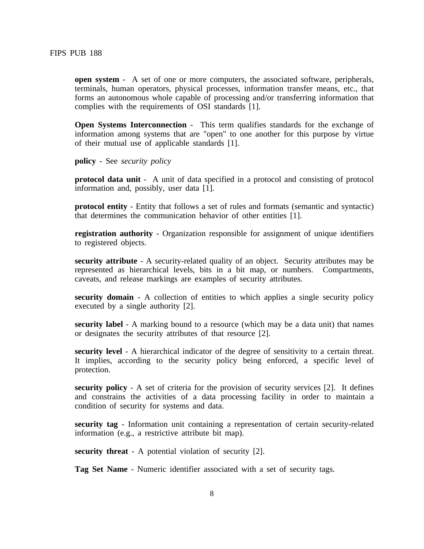**open system** - A set of one or more computers, the associated software, peripherals, terminals, human operators, physical processes, information transfer means, etc., that forms an autonomous whole capable of processing and/or transferring information that complies with the requirements of OSI standards [1].

**Open Systems Interconnection -** This term qualifies standards for the exchange of information among systems that are "open" to one another for this purpose by virtue of their mutual use of applicable standards [1].

**policy** - See *security policy* 

**protocol data unit** - A unit of data specified in a protocol and consisting of protocol information and, possibly, user data [1].

**protocol entity** - Entity that follows a set of rules and formats (semantic and syntactic) that determines the communication behavior of other entities [1].

**registration authority** - Organization responsible for assignment of unique identifiers to registered objects.

**security attribute** - A security-related quality of an object. Security attributes may be represented as hierarchical levels, bits in a bit map, or numbers. Compartments, caveats, and release markings are examples of security attributes.

**security domain** - A collection of entities to which applies a single security policy executed by a single authority [2].

**security label** - A marking bound to a resource (which may be a data unit) that names or designates the security attributes of that resource [2].

**security level** - A hierarchical indicator of the degree of sensitivity to a certain threat. It implies, according to the security policy being enforced, a specific level of protection.

**security policy** - A set of criteria for the provision of security services [2]. It defines and constrains the activities of a data processing facility in order to maintain a condition of security for systems and data.

**security tag** - Information unit containing a representation of certain security-related information (e.g., a restrictive attribute bit map).

**security threat** - A potential violation of security [2].

**Tag Set Name** - Numeric identifier associated with a set of security tags.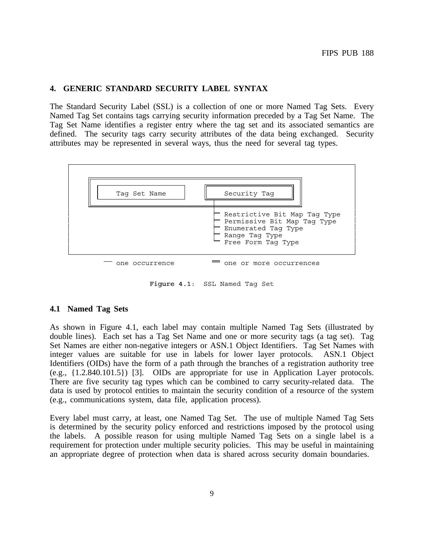#### **4. GENERIC STANDARD SECURITY LABEL SYNTAX**

The Standard Security Label (SSL) is a collection of one or more Named Tag Sets. Every Named Tag Set contains tags carrying security information preceded by a Tag Set Name. The Tag Set Name identifies a register entry where the tag set and its associated semantics are defined. The security tags carry security attributes of the data being exchanged. Security attributes may be represented in several ways, thus the need for several tag types.



Figure 4.1: SSL Named Tag Set

#### **4.1 Named Tag Sets**

As shown in Figure 4.1, each label may contain multiple Named Tag Sets (illustrated by double lines). Each set has a Tag Set Name and one or more security tags (a tag set). Tag Set Names are either non-negative integers or ASN.1 Object Identifiers. Tag Set Names with integer values are suitable for use in labels for lower layer protocols. ASN.1 Object Identifiers (OIDs) have the form of a path through the branches of a registration authority tree (e.g., {1.2.840.101.5}) [3]. OIDs are appropriate for use in Application Layer protocols. There are five security tag types which can be combined to carry security-related data. The data is used by protocol entities to maintain the security condition of a resource of the system (e.g., communications system, data file, application process).

Every label must carry, at least, one Named Tag Set. The use of multiple Named Tag Sets is determined by the security policy enforced and restrictions imposed by the protocol using the labels. A possible reason for using multiple Named Tag Sets on a single label is a requirement for protection under multiple security policies. This may be useful in maintaining an appropriate degree of protection when data is shared across security domain boundaries.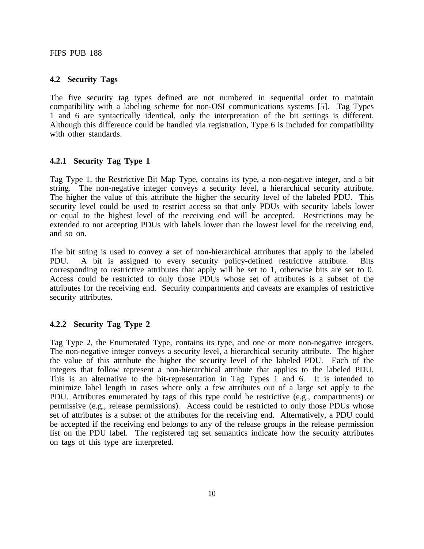#### <span id="page-12-0"></span>**4.2 Security Tags**

The five security tag types defined are not numbered in sequential order to maintain compatibility with a labeling scheme for non-OSI communications systems [5]. Tag Types 1 and 6 are syntactically identical, only the interpretation of the bit settings is different. Although this difference could be handled via registration, Type 6 is included for compatibility with other standards.

#### **4.2.1 Security Tag Type 1**

Tag Type 1, the Restrictive Bit Map Type, contains its type, a non-negative integer, and a bit string. The non-negative integer conveys a security level, a hierarchical security attribute. The higher the value of this attribute the higher the security level of the labeled PDU. This security level could be used to restrict access so that only PDUs with security labels lower or equal to the highest level of the receiving end will be accepted. Restrictions may be extended to not accepting PDUs with labels lower than the lowest level for the receiving end, and so on.

The bit string is used to convey a set of non-hierarchical attributes that apply to the labeled PDU. A bit is assigned to every security policy-defined restrictive attribute. Bits corresponding to restrictive attributes that apply will be set to 1, otherwise bits are set to 0. Access could be restricted to only those PDUs whose set of attributes is a subset of the attributes for the receiving end. Security compartments and caveats are examples of restrictive security attributes.

# **4.2.2 Security Tag Type 2**

Tag Type 2, the Enumerated Type, contains its type, and one or more non-negative integers. The non-negative integer conveys a security level, a hierarchical security attribute. The higher the value of this attribute the higher the security level of the labeled PDU. Each of the integers that follow represent a non-hierarchical attribute that applies to the labeled PDU. This is an alternative to the bit-representation in Tag Types 1 and 6. It is intended to minimize label length in cases where only a few attributes out of a large set apply to the PDU. Attributes enumerated by tags of this type could be restrictive (e.g., compartments) or permissive (e.g., release permissions). Access could be restricted to only those PDUs whose set of attributes is a subset of the attributes for the receiving end. Alternatively, a PDU could be accepted if the receiving end belongs to any of the release groups in the release permission list on the PDU label. The registered tag set semantics indicate how the security attributes on tags of this type are interpreted.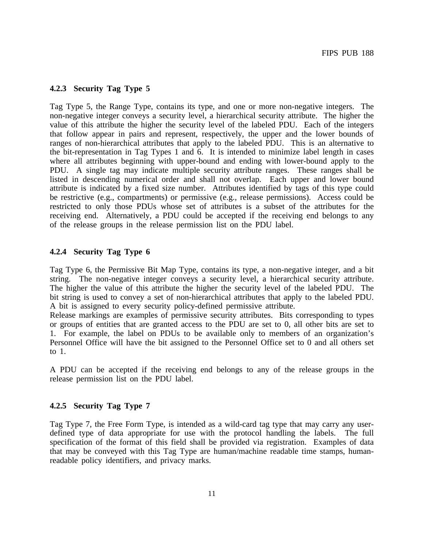#### <span id="page-13-0"></span>**4.2.3 Security Tag Type 5**

Tag Type 5, the Range Type, contains its type, and one or more non-negative integers. The non-negative integer conveys a security level, a hierarchical security attribute. The higher the value of this attribute the higher the security level of the labeled PDU. Each of the integers that follow appear in pairs and represent, respectively, the upper and the lower bounds of ranges of non-hierarchical attributes that apply to the labeled PDU. This is an alternative to the bit-representation in Tag Types 1 and 6. It is intended to minimize label length in cases where all attributes beginning with upper-bound and ending with lower-bound apply to the PDU. A single tag may indicate multiple security attribute ranges. These ranges shall be listed in descending numerical order and shall not overlap. Each upper and lower bound attribute is indicated by a fixed size number. Attributes identified by tags of this type could be restrictive (e.g., compartments) or permissive (e.g., release permissions). Access could be restricted to only those PDUs whose set of attributes is a subset of the attributes for the receiving end. Alternatively, a PDU could be accepted if the receiving end belongs to any of the release groups in the release permission list on the PDU label.

#### **4.2.4 Security Tag Type 6**

Tag Type 6, the Permissive Bit Map Type, contains its type, a non-negative integer, and a bit string. The non-negative integer conveys a security level, a hierarchical security attribute. The higher the value of this attribute the higher the security level of the labeled PDU. The bit string is used to convey a set of non-hierarchical attributes that apply to the labeled PDU. A bit is assigned to every security policy-defined permissive attribute.

Release markings are examples of permissive security attributes. Bits corresponding to types or groups of entities that are granted access to the PDU are set to 0, all other bits are set to 1. For example, the label on PDUs to be available only to members of an organization's Personnel Office will have the bit assigned to the Personnel Office set to 0 and all others set to 1.

A PDU can be accepted if the receiving end belongs to any of the release groups in the release permission list on the PDU label.

#### **4.2.5 Security Tag Type 7**

Tag Type 7, the Free Form Type, is intended as a wild-card tag type that may carry any userdefined type of data appropriate for use with the protocol handling the labels. The full specification of the format of this field shall be provided via registration. Examples of data that may be conveyed with this Tag Type are human/machine readable time stamps, humanreadable policy identifiers, and privacy marks.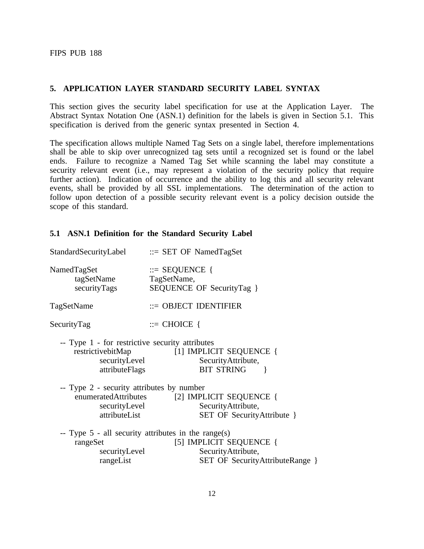#### **5. APPLICATION LAYER STANDARD SECURITY LABEL SYNTAX**

This section gives the security label specification for use at the Application Layer. The Abstract Syntax Notation One (ASN.1) definition for the labels is given in Section 5.1. This specification is derived from the generic syntax presented in Section 4.

The specification allows multiple Named Tag Sets on a single label, therefore implementations shall be able to skip over unrecognized tag sets until a recognized set is found or the label ends. Failure to recognize a Named Tag Set while scanning the label may constitute a security relevant event (i.e., may represent a violation of the security policy that require further action). Indication of occurrence and the ability to log this and all security relevant events, shall be provided by all SSL implementations. The determination of the action to follow upon detection of a possible security relevant event is a policy decision outside the scope of this standard.

#### **5.1 ASN.1 Definition for the Standard Security Label**

| StandardSecurityLabel ::= SET OF NamedTagSet                                                             |                                                                                                         |  |  |  |
|----------------------------------------------------------------------------------------------------------|---------------------------------------------------------------------------------------------------------|--|--|--|
| NamedTagSet<br>tagSetName<br>securityTags                                                                | $\equiv$ SEQUENCE {<br>TagSetName,<br>SEQUENCE OF SecurityTag }                                         |  |  |  |
| TagSetName                                                                                               | $\therefore$ OBJECT IDENTIFIER                                                                          |  |  |  |
| SecurityTag                                                                                              | $\equiv$ CHOICE {                                                                                       |  |  |  |
| -- Type 1 - for restrictive security attributes<br>restrictive bitMap<br>securityLevel<br>attributeFlags | [1] IMPLICIT SEQUENCE {<br>Security Attribute,<br><b>BIT STRING</b><br>ł                                |  |  |  |
| -- Type 2 - security attributes by number<br>securityLevel<br>attributeList                              | enumeratedAttributes [2] IMPLICIT SEQUENCE {<br>SecurityAttribute,<br><b>SET OF SecurityAttribute</b> } |  |  |  |
| -- Type $5$ - all security attributes in the range(s)<br>rangeSet<br>securityLevel<br>rangeList          | [5] IMPLICIT SEQUENCE {<br>Security Attribute,<br><b>SET OF SecurityAttributeRange</b> }                |  |  |  |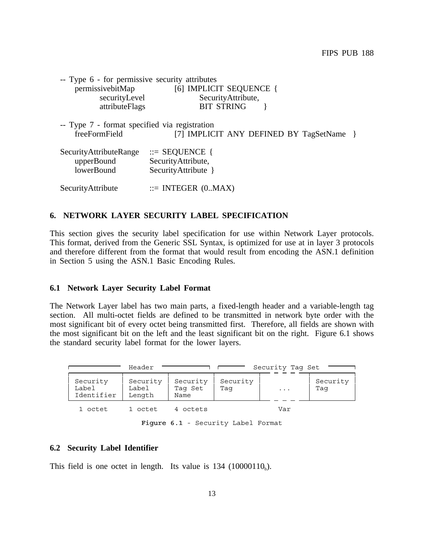<span id="page-15-0"></span>

| -- Type 6 - for permissive security attributes                 |                                          |
|----------------------------------------------------------------|------------------------------------------|
| permissivebitMap                                               | [6] IMPLICIT SEQUENCE {                  |
| securityLevel                                                  | SecurityAttribute,                       |
| attributeFlags                                                 | <b>BIT STRING</b>                        |
| -- Type 7 - format specified via registration<br>freeFormField | [7] IMPLICIT ANY DEFINED BY TagSetName } |
| SecurityAttributeRange                                         | $\therefore$ SEQUENCE {                  |
| upperBound                                                     | SecurityAttribute,                       |
| lowerBound                                                     | SecurityAttribute }                      |
| SecurityAttribute                                              | $ ::=$ INTEGER $(0.MAX)$                 |

#### **6. NETWORK LAYER SECURITY LABEL SPECIFICATION**

This section gives the security label specification for use within Network Layer protocols. This format, derived from the Generic SSL Syntax, is optimized for use at in layer 3 protocols and therefore different from the format that would result from encoding the ASN.1 definition in Section 5 using the ASN.1 Basic Encoding Rules.

#### **6.1 Network Layer Security Label Format**

The Network Layer label has two main parts, a fixed-length header and a variable-length tag section. All multi-octet fields are defined to be transmitted in network byte order with the most significant bit of every octet being transmitted first. Therefore, all fields are shown with the most significant bit on the left and the least significant bit on the right. Figure 6.1 shows the standard security label format for the lower layers.

| Header                          |                             |                             |                 | Security Tag Set |                 |
|---------------------------------|-----------------------------|-----------------------------|-----------------|------------------|-----------------|
| Security<br>Label<br>Identifier | Security<br>Label<br>Length | Security<br>Taq Set<br>Name | Security<br>Taq | $\ddotsc$        | Security<br>Taq |
| 1 octet                         | 1 octet                     | 4 octets                    |                 | Var              |                 |

Figure 6.1 - Security Label Format

#### **6.2 Security Label Identifier**

This field is one octet in length. Its value is  $134$  (10000110<sub>b</sub>).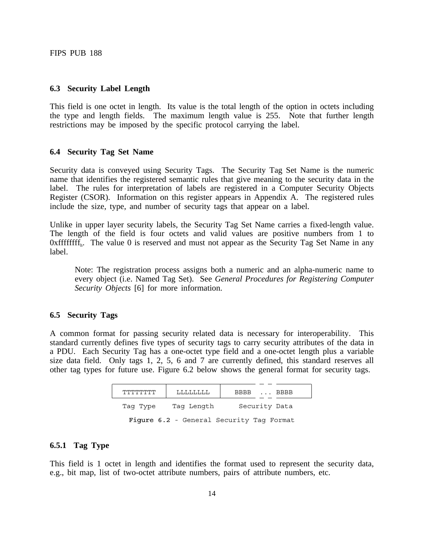#### <span id="page-16-0"></span>**6.3 Security Label Length**

This field is one octet in length. Its value is the total length of the option in octets including the type and length fields. The maximum length value is 255. Note that further length restrictions may be imposed by the specific protocol carrying the label.

#### **6.4 Security Tag Set Name**

Security data is conveyed using Security Tags. The Security Tag Set Name is the numeric name that identifies the registered semantic rules that give meaning to the security data in the label. The rules for interpretation of labels are registered in a Computer Security Objects Register (CSOR). Information on this register appears in Appendix A. The registered rules include the size, type, and number of security tags that appear on a label.

Unlike in upper layer security labels, the Security Tag Set Name carries a fixed-length value. The length of the field is four octets and valid values are positive numbers from 1 to  $0x$  fffffffff<sub>h</sub>. The value 0 is reserved and must not appear as the Security Tag Set Name in any label.

Note: The registration process assigns both a numeric and an alpha-numeric name to every object (i.e. Named Tag Set). See *General Procedures for Registering Computer Security Objects* [6] for more information.

#### **6.5 Security Tags**

A common format for passing security related data is necessary for interoperability. This standard currently defines five types of security tags to carry security attributes of the data in a PDU. Each Security Tag has a one-octet type field and a one-octet length plus a variable size data field. Only tags 1, 2, 5, 6 and 7 are currently defined, this standard reserves all other tag types for future use. Figure 6.2 below shows the general format for security tags.

| ᠇᠇᠇᠇᠇᠇᠇᠇᠇᠇᠇᠇ | T.T.T.T.T.T.T.T. | BBBB  BBBB                               |
|--------------|------------------|------------------------------------------|
| Tag Type     | Tag Length       | Security Data                            |
|              |                  | Figure 6.2 - General Security Tag Format |

#### **6.5.1 Tag Type**

This field is 1 octet in length and identifies the format used to represent the security data, e.g., bit map, list of two-octet attribute numbers, pairs of attribute numbers, etc.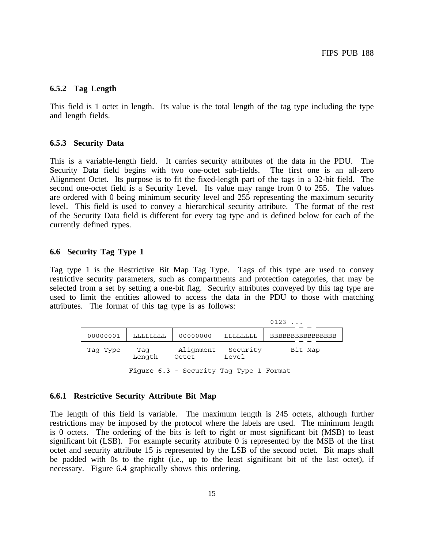#### <span id="page-17-0"></span>**6.5.2 Tag Length**

This field is 1 octet in length. Its value is the total length of the tag type including the type and length fields.

#### **6.5.3 Security Data**

This is a variable-length field. It carries security attributes of the data in the PDU. The Security Data field begins with two one-octet sub-fields. The first one is an all-zero Alignment Octet. Its purpose is to fit the fixed-length part of the tags in a 32-bit field. The second one-octet field is a Security Level. Its value may range from 0 to 255. The values are ordered with 0 being minimum security level and 255 representing the maximum security level. This field is used to convey a hierarchical security attribute. The format of the rest of the Security Data field is different for every tag type and is defined below for each of the currently defined types.

# **6.6 Security Tag Type 1**

Tag type 1 is the Restrictive Bit Map Tag Type. Tags of this type are used to convey restrictive security parameters, such as compartments and protection categories, that may be selected from a set by setting a one-bit flag. Security attributes conveyed by this tag type are used to limit the entities allowed to access the data in the PDU to those with matching attributes. The format of this tag type is as follows:

|          |                 |                                         |                   | 0123                          |
|----------|-----------------|-----------------------------------------|-------------------|-------------------------------|
| 00000001 | <b>LLLLLLLL</b> | 00000000                                | LLLLLLLL          | <i><b>RRRRRRRRRRRRRRR</b></i> |
| Tag Type | Taq<br>Length   |                                         | Security<br>Level | Bit Map                       |
|          |                 | Figure 6.3 - Security Tag Type 1 Format |                   |                               |

#### **6.6.1 Restrictive Security Attribute Bit Map**

The length of this field is variable. The maximum length is 245 octets, although further restrictions may be imposed by the protocol where the labels are used. The minimum length is 0 octets. The ordering of the bits is left to right or most significant bit (MSB) to least significant bit (LSB). For example security attribute 0 is represented by the MSB of the first octet and security attribute 15 is represented by the LSB of the second octet. Bit maps shall be padded with 0s to the right (i.e., up to the least significant bit of the last octet), if necessary. Figure 6.4 graphically shows this ordering.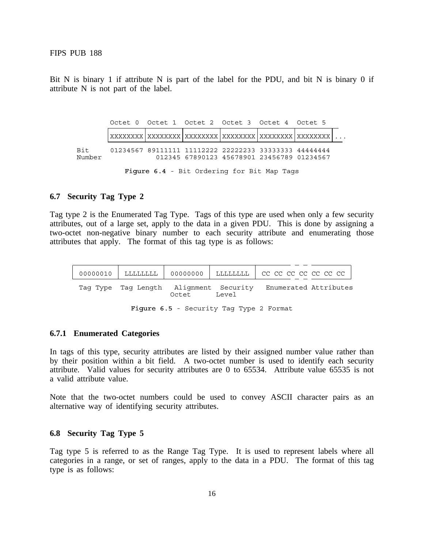Bit N is binary 1 if attribute N is part of the label for the PDU, and bit N is binary 0 if attribute N is not part of the label.

|               |  | Octet 0 Octet 1 Octet 2 Octet 3 Octet 4 Octet 5                                                     |  |
|---------------|--|-----------------------------------------------------------------------------------------------------|--|
|               |  |                                                                                                     |  |
| Bit<br>Number |  | 01234567 89111111 11112222 22222233 33333333 44444444<br>012345 67890123 45678901 23456789 01234567 |  |
|               |  |                                                                                                     |  |

#### Figure 6.4 - Bit Ordering for Bit Map Tags

#### **6.7 Security Tag Type 2**

Tag type 2 is the Enumerated Tag Type. Tags of this type are used when only a few security attributes, out of a large set, apply to the data in a given PDU. This is done by assigning a two-octet non-negative binary number to each security attribute and enumerating those attributes that apply. The format of this tag type is as follows:

|                                        |       |       | 00000010   LLLLLLLL   00000000   LLLLLLLL   CC CC CC CC CC CC CC |  |
|----------------------------------------|-------|-------|------------------------------------------------------------------|--|
| Tag Type Tag Length Alignment Security | Octet | Level | Enumerated Attributes                                            |  |

Figure 6.5 - Security Tag Type 2 Format

#### **6.7.1 Enumerated Categories**

In tags of this type, security attributes are listed by their assigned number value rather than by their position within a bit field. A two-octet number is used to identify each security attribute. Valid values for security attributes are 0 to 65534. Attribute value 65535 is not a valid attribute value.

Note that the two-octet numbers could be used to convey ASCII character pairs as an alternative way of identifying security attributes.

#### **6.8 Security Tag Type 5**

Tag type 5 is referred to as the Range Tag Type. It is used to represent labels where all categories in a range, or set of ranges, apply to the data in a PDU. The format of this tag type is as follows: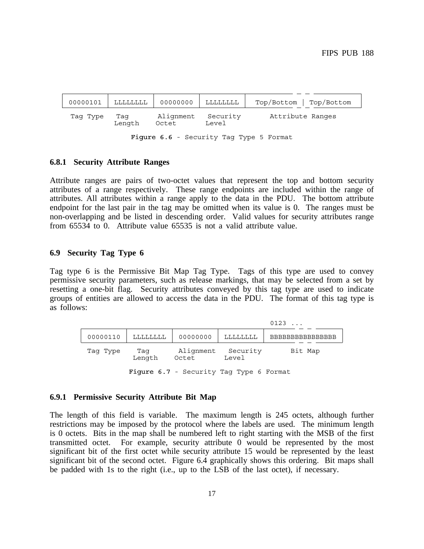<span id="page-19-0"></span>

| 00000101                                | <b>LLLLLLLL</b> | 00000000           | LLLLLLLL          | $Top/Bottom$   $Top/Bottom$ |
|-----------------------------------------|-----------------|--------------------|-------------------|-----------------------------|
| Tag Type                                | Taq<br>Length   | Alignment<br>Octet | Security<br>Level | Attribute Ranges            |
| Figure 6.6 - Security Tag Type 5 Format |                 |                    |                   |                             |

#### **6.8.1 Security Attribute Ranges**

Attribute ranges are pairs of two-octet values that represent the top and bottom security attributes of a range respectively. These range endpoints are included within the range of attributes. All attributes within a range apply to the data in the PDU. The bottom attribute endpoint for the last pair in the tag may be omitted when its value is 0. The ranges must be non-overlapping and be listed in descending order. Valid values for security attributes range from 65534 to 0. Attribute value 65535 is not a valid attribute value.

#### **6.9 Security Tag Type 6**

Tag type 6 is the Permissive Bit Map Tag Type. Tags of this type are used to convey permissive security parameters, such as release markings, that may be selected from a set by resetting a one-bit flag. Security attributes conveyed by this tag type are used to indicate groups of entities are allowed to access the data in the PDU. The format of this tag type is as follows:

|          |               |                                         |                   | 0123                                |
|----------|---------------|-----------------------------------------|-------------------|-------------------------------------|
| 00000110 | LLLLLLLL      | 00000000                                | LLLLLLLL          | <b>BRBBBBBBBBBBBBBBBBBBBBBBBBBB</b> |
| Tag Type | Taq<br>Length | Alignment<br>Octet                      | Security<br>Level | Bit Map                             |
|          |               | Figure 6.7 - Security Tag Type 6 Format |                   |                                     |

#### **6.9.1 Permissive Security Attribute Bit Map**

The length of this field is variable. The maximum length is 245 octets, although further restrictions may be imposed by the protocol where the labels are used. The minimum length is 0 octets. Bits in the map shall be numbered left to right starting with the MSB of the first transmitted octet. For example, security attribute 0 would be represented by the most significant bit of the first octet while security attribute 15 would be represented by the least significant bit of the second octet. Figure 6.4 graphically shows this ordering. Bit maps shall be padded with 1s to the right (i.e., up to the LSB of the last octet), if necessary.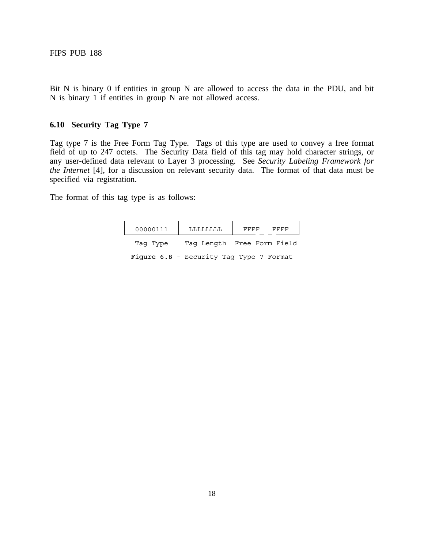<span id="page-20-0"></span>Bit N is binary 0 if entities in group N are allowed to access the data in the PDU, and bit N is binary 1 if entities in group N are not allowed access.

# **6.10 Security Tag Type 7**

Tag type 7 is the Free Form Tag Type. Tags of this type are used to convey a free format field of up to 247 octets. The Security Data field of this tag may hold character strings, or any user-defined data relevant to Layer 3 processing. See *Security Labeling Framework for the Internet* [4], for a discussion on relevant security data. The format of that data must be specified via registration.

The format of this tag type is as follows:

| 00000111 | FFFF<br>FFFF                            |
|----------|-----------------------------------------|
| Tag Type | Tag Length Free Form Field              |
|          | Fiqure 6.8 - Security Tag Type 7 Format |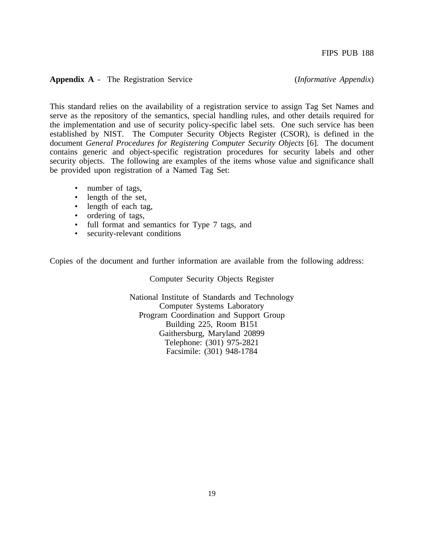#### <span id="page-21-0"></span>**Appendix A** - The Registration Service (*Informative Appendix*)

This standard relies on the availability of a registration service to assign Tag Set Names and serve as the repository of the semantics, special handling rules, and other details required for the implementation and use of security policy-specific label sets. One such service has been established by NIST. The Computer Security Objects Register (CSOR), is defined in the document *General Procedures for Registering Computer Security Objects* [6]. The document contains generic and object-specific registration procedures for security labels and other security objects. The following are examples of the items whose value and significance shall be provided upon registration of a Named Tag Set:

- number of tags,
- length of the set.
- length of each tag,
- ordering of tags,
- full format and semantics for Type 7 tags, and
- security-relevant conditions

Copies of the document and further information are available from the following address:

Computer Security Objects Register

National Institute of Standards and Technology Computer Systems Laboratory Program Coordination and Support Group Building 225, Room B151 Gaithersburg, Maryland 20899 Telephone: (301) 975-2821 Facsimile: (301) 948-1784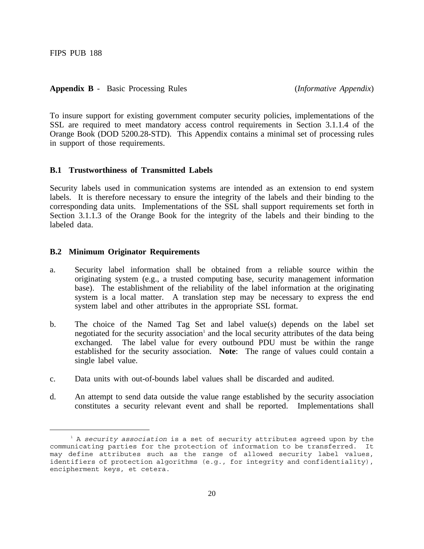<span id="page-22-0"></span>**Appendix B** - Basic Processing Rules (*Informative Appendix*)

To insure support for existing government computer security policies, implementations of the SSL are required to meet mandatory access control requirements in Section 3.1.1.4 of the Orange Book (DOD 5200.28-STD). This Appendix contains a minimal set of processing rules in support of those requirements.

#### **B.1 Trustworthiness of Transmitted Labels**

Security labels used in communication systems are intended as an extension to end system labels. It is therefore necessary to ensure the integrity of the labels and their binding to the corresponding data units. Implementations of the SSL shall support requirements set forth in Section 3.1.1.3 of the Orange Book for the integrity of the labels and their binding to the labeled data.

#### **B.2 Minimum Originator Requirements**

- a. Security label information shall be obtained from a reliable source within the originating system (e.g., a trusted computing base, security management information base). The establishment of the reliability of the label information at the originating system is a local matter. A translation step may be necessary to express the end system label and other attributes in the appropriate SSL format.
- b. The choice of the Named Tag Set and label value(s) depends on the label set negotiated for the security association<sup>1</sup> and the local security attributes of the data being exchanged. The label value for every outbound PDU must be within the range established for the security association. **Note**: The range of values could contain a single label value.
- c. Data units with out-of-bounds label values shall be discarded and audited.
- d. An attempt to send data outside the value range established by the security association constitutes a security relevant event and shall be reported. Implementations shall

<sup>1</sup> A *security association* is a set of security attributes agreed upon by the communicating parties for the protection of information to be transferred. It may define attributes such as the range of allowed security label values, identifiers of protection algorithms (e.g., for integrity and confidentiality), encipherment keys, et cetera.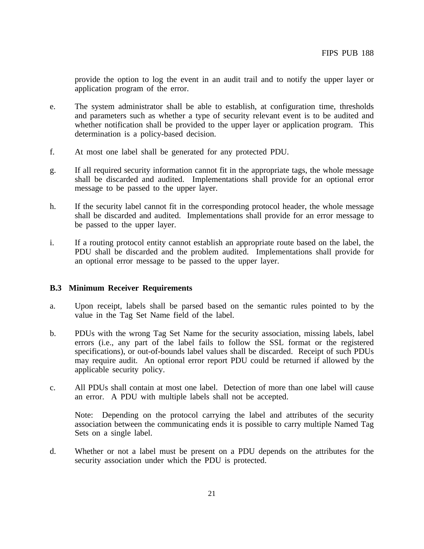provide the option to log the event in an audit trail and to notify the upper layer or application program of the error.

- e. The system administrator shall be able to establish, at configuration time, thresholds and parameters such as whether a type of security relevant event is to be audited and whether notification shall be provided to the upper layer or application program. This determination is a policy-based decision.
- f. At most one label shall be generated for any protected PDU.
- g. If all required security information cannot fit in the appropriate tags, the whole message shall be discarded and audited. Implementations shall provide for an optional error message to be passed to the upper layer.
- h. If the security label cannot fit in the corresponding protocol header, the whole message shall be discarded and audited. Implementations shall provide for an error message to be passed to the upper layer.
- i. If a routing protocol entity cannot establish an appropriate route based on the label, the PDU shall be discarded and the problem audited. Implementations shall provide for an optional error message to be passed to the upper layer.

#### **B.3 Minimum Receiver Requirements**

- a. Upon receipt, labels shall be parsed based on the semantic rules pointed to by the value in the Tag Set Name field of the label.
- b. PDUs with the wrong Tag Set Name for the security association, missing labels, label errors (i.e., any part of the label fails to follow the SSL format or the registered specifications), or out-of-bounds label values shall be discarded. Receipt of such PDUs may require audit. An optional error report PDU could be returned if allowed by the applicable security policy.
- c. All PDUs shall contain at most one label. Detection of more than one label will cause an error. A PDU with multiple labels shall not be accepted.

Note: Depending on the protocol carrying the label and attributes of the security association between the communicating ends it is possible to carry multiple Named Tag Sets on a single label.

d. Whether or not a label must be present on a PDU depends on the attributes for the security association under which the PDU is protected.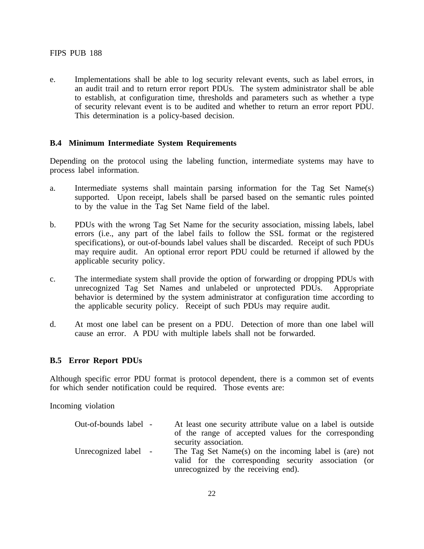e. Implementations shall be able to log security relevant events, such as label errors, in an audit trail and to return error report PDUs. The system administrator shall be able to establish, at configuration time, thresholds and parameters such as whether a type of security relevant event is to be audited and whether to return an error report PDU. This determination is a policy-based decision.

# **B.4 Minimum Intermediate System Requirements**

Depending on the protocol using the labeling function, intermediate systems may have to process label information.

- a. Intermediate systems shall maintain parsing information for the Tag Set Name(s) supported. Upon receipt, labels shall be parsed based on the semantic rules pointed to by the value in the Tag Set Name field of the label.
- b. PDUs with the wrong Tag Set Name for the security association, missing labels, label errors (i.e., any part of the label fails to follow the SSL format or the registered specifications), or out-of-bounds label values shall be discarded. Receipt of such PDUs may require audit. An optional error report PDU could be returned if allowed by the applicable security policy.
- c. The intermediate system shall provide the option of forwarding or dropping PDUs with unrecognized Tag Set Names and unlabeled or unprotected PDUs. Appropriate behavior is determined by the system administrator at configuration time according to the applicable security policy. Receipt of such PDUs may require audit.
- d. At most one label can be present on a PDU. Detection of more than one label will cause an error. A PDU with multiple labels shall not be forwarded.

#### **B.5 Error Report PDUs**

Although specific error PDU format is protocol dependent, there is a common set of events for which sender notification could be required. Those events are:

Incoming violation

| Out-of-bounds label - | At least one security attribute value on a label is outside<br>of the range of accepted values for the corresponding<br>security association.         |
|-----------------------|-------------------------------------------------------------------------------------------------------------------------------------------------------|
| Unrecognized label -  | The Tag Set Name(s) on the incoming label is (are) not<br>valid for the corresponding security association (or<br>unrecognized by the receiving end). |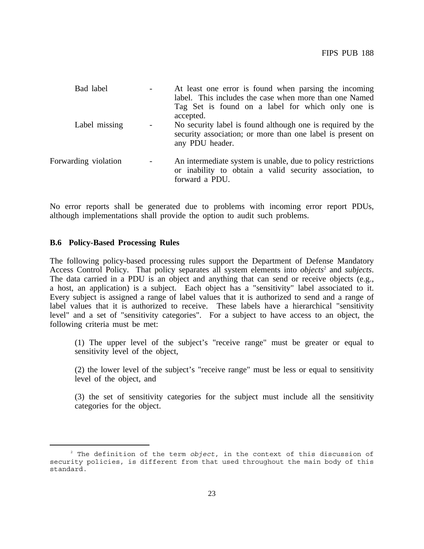| Bad label            |                          | At least one error is found when parsing the incoming<br>label. This includes the case when more than one Named<br>Tag Set is found on a label for which only one is<br>accepted. |
|----------------------|--------------------------|-----------------------------------------------------------------------------------------------------------------------------------------------------------------------------------|
| Label missing        |                          | No security label is found although one is required by the<br>security association; or more than one label is present on<br>any PDU header.                                       |
| Forwarding violation | $\overline{\phantom{a}}$ | An intermediate system is unable, due to policy restrictions<br>or inability to obtain a valid security association, to<br>forward a PDU.                                         |

No error reports shall be generated due to problems with incoming error report PDUs, although implementations shall provide the option to audit such problems.

#### **B.6 Policy-Based Processing Rules**

The following policy-based processing rules support the Department of Defense Mandatory Access Control Policy. That policy separates all system elements into *objects*<sup>2</sup> and *subjects*. The data carried in a PDU is an object and anything that can send or receive objects (e.g., a host, an application) is a subject. Each object has a "sensitivity" label associated to it. Every subject is assigned a range of label values that it is authorized to send and a range of label values that it is authorized to receive. These labels have a hierarchical "sensitivity level" and a set of "sensitivity categories". For a subject to have access to an object, the following criteria must be met:

(1) The upper level of the subject's "receive range" must be greater or equal to sensitivity level of the object,

(2) the lower level of the subject's "receive range" must be less or equal to sensitivity level of the object, and

(3) the set of sensitivity categories for the subject must include all the sensitivity categories for the object.

<sup>2</sup> The definition of the term *object*, in the context of this discussion of security policies, is different from that used throughout the main body of this standard.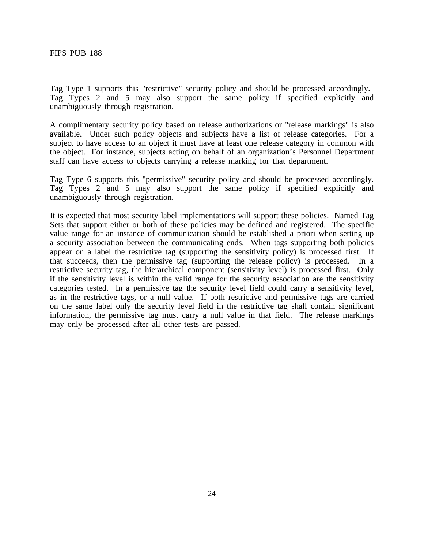Tag Type 1 supports this "restrictive" security policy and should be processed accordingly. Tag Types 2 and 5 may also support the same policy if specified explicitly and unambiguously through registration.

A complimentary security policy based on release authorizations or "release markings" is also available. Under such policy objects and subjects have a list of release categories. For a subject to have access to an object it must have at least one release category in common with the object. For instance, subjects acting on behalf of an organization's Personnel Department staff can have access to objects carrying a release marking for that department.

Tag Type 6 supports this "permissive" security policy and should be processed accordingly. Tag Types 2 and 5 may also support the same policy if specified explicitly and unambiguously through registration.

It is expected that most security label implementations will support these policies. Named Tag Sets that support either or both of these policies may be defined and registered. The specific value range for an instance of communication should be established a priori when setting up a security association between the communicating ends. When tags supporting both policies appear on a label the restrictive tag (supporting the sensitivity policy) is processed first. If that succeeds, then the permissive tag (supporting the release policy) is processed. In a restrictive security tag, the hierarchical component (sensitivity level) is processed first. Only if the sensitivity level is within the valid range for the security association are the sensitivity categories tested. In a permissive tag the security level field could carry a sensitivity level, as in the restrictive tags, or a null value. If both restrictive and permissive tags are carried on the same label only the security level field in the restrictive tag shall contain significant information, the permissive tag must carry a null value in that field. The release markings may only be processed after all other tests are passed.